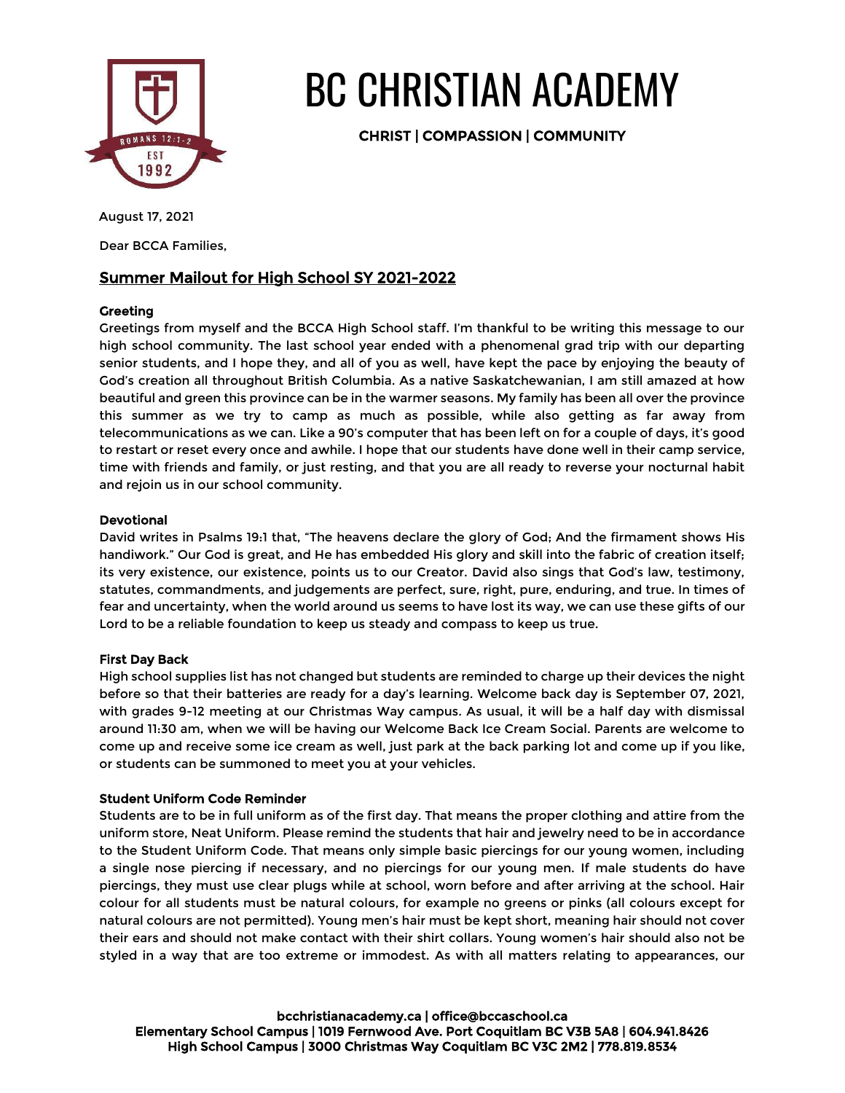

# BC CHRISTIAN ACADEMY

CHRIST | COMPASSION | COMMUNITY

# August 17, 2021

Dear BCCA Families,

# Summer Mailout for High School SY 2021-2022

# **Greeting**

Greetings from myself and the BCCA High School staff. I'm thankful to be writing this message to our high school community. The last school year ended with a phenomenal grad trip with our departing senior students, and I hope they, and all of you as well, have kept the pace by enjoying the beauty of God's creation all throughout British Columbia. As a native Saskatchewanian, I am still amazed at how beautiful and green this province can be in the warmer seasons. My family has been all over the province this summer as we try to camp as much as possible, while also getting as far away from telecommunications as we can. Like a 90's computer that has been left on for a couple of days, it's good to restart or reset every once and awhile. I hope that our students have done well in their camp service, time with friends and family, or just resting, and that you are all ready to reverse your nocturnal habit and rejoin us in our school community.

# Devotional

David writes in Psalms 19:1 that, "The heavens declare the glory of God; And the firmament shows His handiwork." Our God is great, and He has embedded His glory and skill into the fabric of creation itself; its very existence, our existence, points us to our Creator. David also sings that God's law, testimony, statutes, commandments, and judgements are perfect, sure, right, pure, enduring, and true. In times of fear and uncertainty, when the world around us seems to have lost its way, we can use these gifts of our Lord to be a reliable foundation to keep us steady and compass to keep us true.

# First Day Back

High school supplies list has not changed but students are reminded to charge up their devices the night before so that their batteries are ready for a day's learning. Welcome back day is September 07, 2021, with grades 9-12 meeting at our Christmas Way campus. As usual, it will be a half day with dismissal around 11:30 am, when we will be having our Welcome Back Ice Cream Social. Parents are welcome to come up and receive some ice cream as well, just park at the back parking lot and come up if you like, or students can be summoned to meet you at your vehicles.

# Student Uniform Code Reminder

Students are to be in full uniform as of the first day. That means the proper clothing and attire from the uniform store, Neat Uniform. Please remind the students that hair and jewelry need to be in accordance to the Student Uniform Code. That means only simple basic piercings for our young women, including a single nose piercing if necessary, and no piercings for our young men. If male students do have piercings, they must use clear plugs while at school, worn before and after arriving at the school. Hair colour for all students must be natural colours, for example no greens or pinks (all colours except for natural colours are not permitted). Young men's hair must be kept short, meaning hair should not cover their ears and should not make contact with their shirt collars. Young women's hair should also not be styled in a way that are too extreme or immodest. As with all matters relating to appearances, our

bcchristianacademy.ca | office@bccaschool.ca Elementary School Campus | 1019 Fernwood Ave. Port Coquitlam BC V3B 5A8 | 604.941.8426 High School Campus | 3000 Christmas Way Coquitlam BC V3C 2M2 | 778.819.8534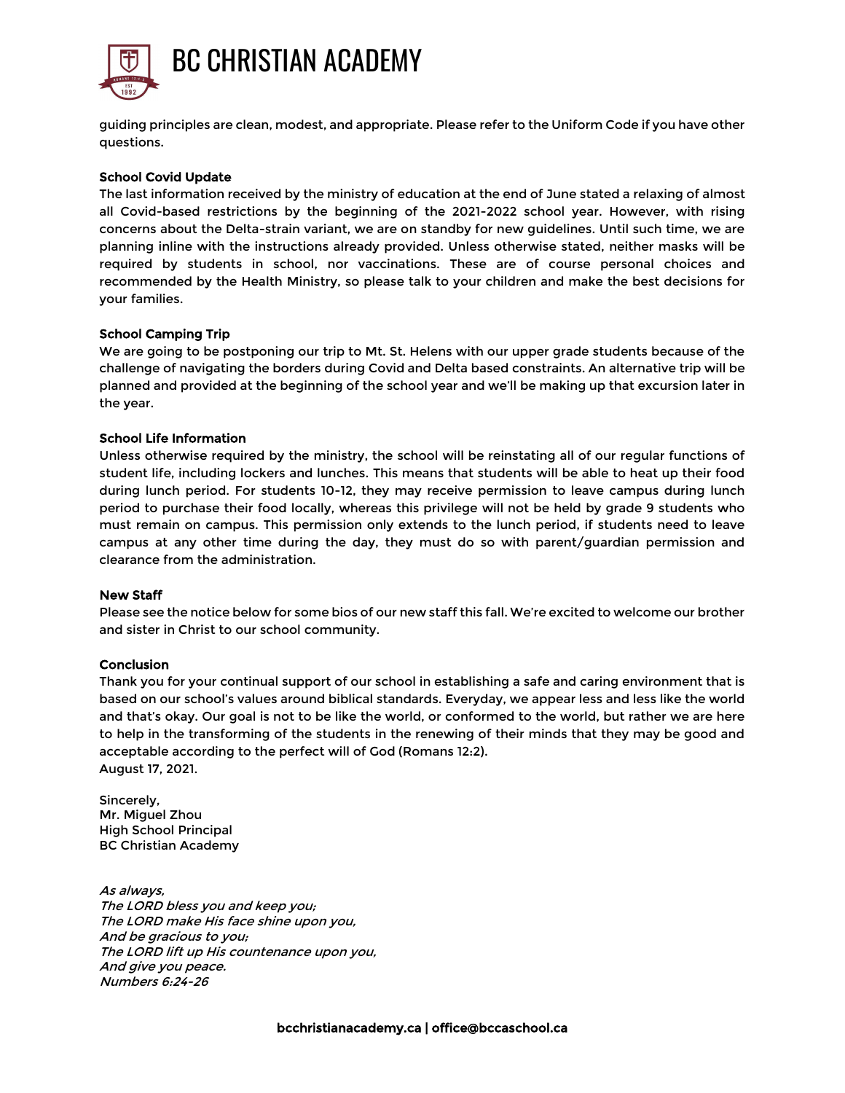

guiding principles are clean, modest, and appropriate. Please refer to the Uniform Code if you have other questions.

#### School Covid Update

The last information received by the ministry of education at the end of June stated a relaxing of almost all Covid-based restrictions by the beginning of the 2021-2022 school year. However, with rising concerns about the Delta-strain variant, we are on standby for new guidelines. Until such time, we are planning inline with the instructions already provided. Unless otherwise stated, neither masks will be required by students in school, nor vaccinations. These are of course personal choices and recommended by the Health Ministry, so please talk to your children and make the best decisions for your families.

#### School Camping Trip

We are going to be postponing our trip to Mt. St. Helens with our upper grade students because of the challenge of navigating the borders during Covid and Delta based constraints. An alternative trip will be planned and provided at the beginning of the school year and we'll be making up that excursion later in the year.

#### School Life Information

Unless otherwise required by the ministry, the school will be reinstating all of our regular functions of student life, including lockers and lunches. This means that students will be able to heat up their food during lunch period. For students 10-12, they may receive permission to leave campus during lunch period to purchase their food locally, whereas this privilege will not be held by grade 9 students who must remain on campus. This permission only extends to the lunch period, if students need to leave campus at any other time during the day, they must do so with parent/guardian permission and clearance from the administration.

#### New Staff

Please see the notice below for some bios of our new staff this fall. We're excited to welcome our brother and sister in Christ to our school community.

#### Conclusion

Thank you for your continual support of our school in establishing a safe and caring environment that is based on our school's values around biblical standards. Everyday, we appear less and less like the world and that's okay. Our goal is not to be like the world, or conformed to the world, but rather we are here to help in the transforming of the students in the renewing of their minds that they may be good and acceptable according to the perfect will of God (Romans 12:2). August 17, 2021.

Sincerely, Mr. Miguel Zhou High School Principal BC Christian Academy

As always, The LORD bless you and keep you; The LORD make His face shine upon you, And be gracious to you; The LORD lift up His countenance upon you, And give you peace. Numbers 6:24-26